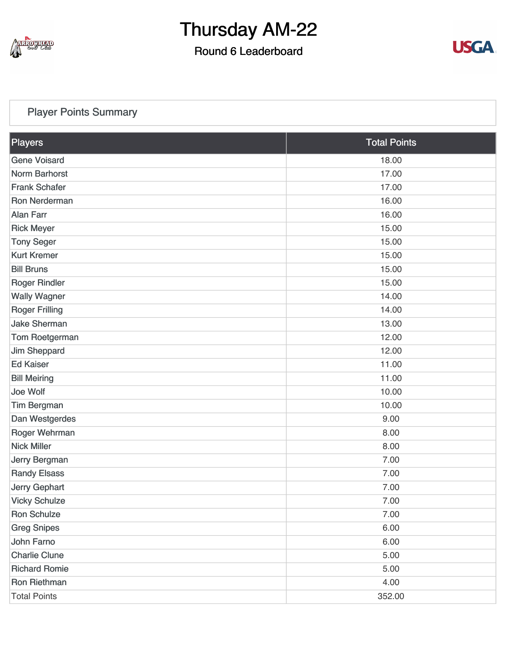

### Round 6 Leaderboard



### [Player Points Summary](https://static.golfgenius.com/v2tournaments/total_points?league_id=8234394788888061414&round_id=8404776568768963973)

| <b>Players</b>        | <b>Total Points</b> |
|-----------------------|---------------------|
| <b>Gene Voisard</b>   | 18.00               |
| <b>Norm Barhorst</b>  | 17.00               |
| <b>Frank Schafer</b>  | 17.00               |
| Ron Nerderman         | 16.00               |
| <b>Alan Farr</b>      | 16.00               |
| <b>Rick Meyer</b>     | 15.00               |
| <b>Tony Seger</b>     | 15.00               |
| <b>Kurt Kremer</b>    | 15.00               |
| <b>Bill Bruns</b>     | 15.00               |
| <b>Roger Rindler</b>  | 15.00               |
| <b>Wally Wagner</b>   | 14.00               |
| <b>Roger Frilling</b> | 14.00               |
| <b>Jake Sherman</b>   | 13.00               |
| Tom Roetgerman        | 12.00               |
| Jim Sheppard          | 12.00               |
| <b>Ed Kaiser</b>      | 11.00               |
| <b>Bill Meiring</b>   | 11.00               |
| Joe Wolf              | 10.00               |
| <b>Tim Bergman</b>    | 10.00               |
| Dan Westgerdes        | 9.00                |
| Roger Wehrman         | 8.00                |
| <b>Nick Miller</b>    | 8.00                |
| Jerry Bergman         | 7.00                |
| <b>Randy Elsass</b>   | 7.00                |
| Jerry Gephart         | 7.00                |
| <b>Vicky Schulze</b>  | 7.00                |
| <b>Ron Schulze</b>    | 7.00                |
| <b>Greg Snipes</b>    | 6.00                |
| John Farno            | 6.00                |
| <b>Charlie Clune</b>  | 5.00                |
| <b>Richard Romie</b>  | 5.00                |
| Ron Riethman          | 4.00                |
| <b>Total Points</b>   | 352.00              |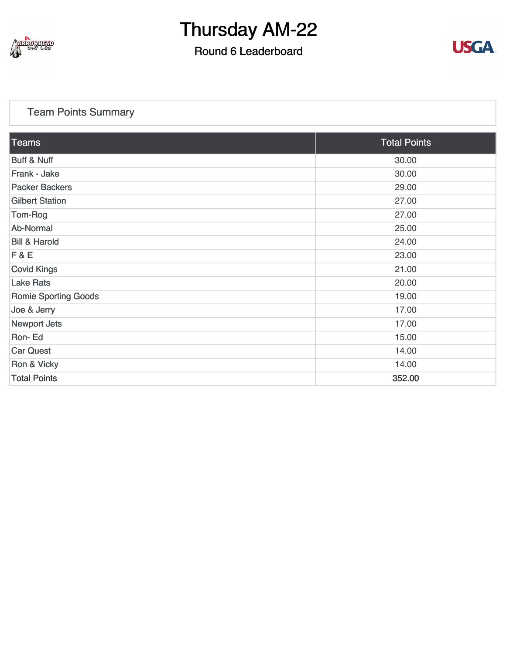

## Round 6 Leaderboard



### [Team Points Summary](https://static.golfgenius.com/v2tournaments/team_points?league_id=8234394788888061414&round_id=8404776568768963973)

| Teams                       | <b>Total Points</b> |
|-----------------------------|---------------------|
| <b>Buff &amp; Nuff</b>      | 30.00               |
| Frank - Jake                | 30.00               |
| <b>Packer Backers</b>       | 29.00               |
| <b>Gilbert Station</b>      | 27.00               |
| Tom-Rog                     | 27.00               |
| Ab-Normal                   | 25.00               |
| <b>Bill &amp; Harold</b>    | 24.00               |
| F & E                       | 23.00               |
| <b>Covid Kings</b>          | 21.00               |
| <b>Lake Rats</b>            | 20.00               |
| <b>Romie Sporting Goods</b> | 19.00               |
| Joe & Jerry                 | 17.00               |
| <b>Newport Jets</b>         | 17.00               |
| Ron-Ed                      | 15.00               |
| <b>Car Quest</b>            | 14.00               |
| Ron & Vicky                 | 14.00               |
| <b>Total Points</b>         | 352.00              |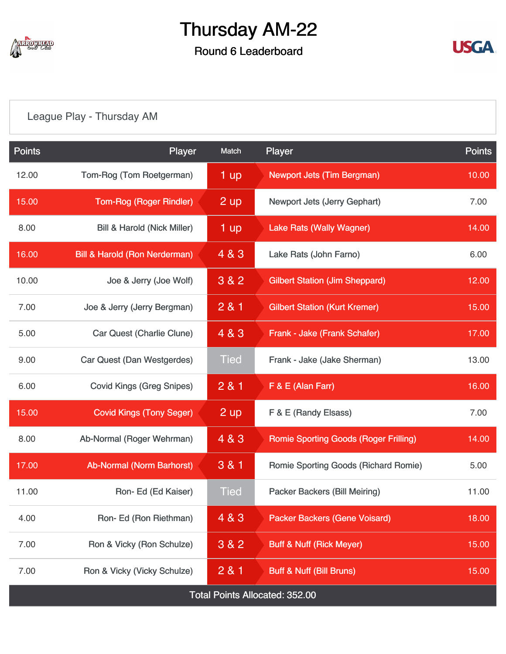

## Round 6 Leaderboard



## [League Play - Thursday AM](https://static.golfgenius.com/v2tournaments/8404788093172852019?called_from=&round_index=6)

| <b>Points</b>                         | Player                                   | Match       | Player                                       | <b>Points</b> |  |  |
|---------------------------------------|------------------------------------------|-------------|----------------------------------------------|---------------|--|--|
| 12.00                                 | Tom-Rog (Tom Roetgerman)                 | 1 up        | <b>Newport Jets (Tim Bergman)</b>            | 10.00         |  |  |
| 15.00                                 | <b>Tom-Rog (Roger Rindler)</b>           | 2 up        | Newport Jets (Jerry Gephart)                 | 7.00          |  |  |
| 8.00                                  | <b>Bill &amp; Harold (Nick Miller)</b>   | 1 up        | <b>Lake Rats (Wally Wagner)</b>              | 14.00         |  |  |
| 16.00                                 | <b>Bill &amp; Harold (Ron Nerderman)</b> | 4 & 3       | Lake Rats (John Farno)                       | 6.00          |  |  |
| 10.00                                 | Joe & Jerry (Joe Wolf)                   | 3 & 2       | <b>Gilbert Station (Jim Sheppard)</b>        | 12.00         |  |  |
| 7.00                                  | Joe & Jerry (Jerry Bergman)              | 281         | <b>Gilbert Station (Kurt Kremer)</b>         | 15.00         |  |  |
| 5.00                                  | <b>Car Quest (Charlie Clune)</b>         | 4 & 3       | Frank - Jake (Frank Schafer)                 | 17.00         |  |  |
| 9.00                                  | Car Quest (Dan Westgerdes)               | <b>Tied</b> | Frank - Jake (Jake Sherman)                  | 13.00         |  |  |
| 6.00                                  | <b>Covid Kings (Greg Snipes)</b>         | 281         | F & E (Alan Farr)                            | 16.00         |  |  |
| 15.00                                 | <b>Covid Kings (Tony Seger)</b>          | 2 up        | F & E (Randy Elsass)                         | 7.00          |  |  |
| 8.00                                  | Ab-Normal (Roger Wehrman)                | 4 & 3       | <b>Romie Sporting Goods (Roger Frilling)</b> | 14.00         |  |  |
| 17.00                                 | Ab-Normal (Norm Barhorst)                | 3 & 1       | Romie Sporting Goods (Richard Romie)         | 5.00          |  |  |
| 11.00                                 | Ron-Ed (Ed Kaiser)                       | <b>Tied</b> | <b>Packer Backers (Bill Meiring)</b>         | 11.00         |  |  |
| 4.00                                  | Ron-Ed (Ron Riethman)                    | 4 & 3       | <b>Packer Backers (Gene Voisard)</b>         | 18.00         |  |  |
| 7.00                                  | Ron & Vicky (Ron Schulze)                | 3 & 2       | <b>Buff &amp; Nuff (Rick Meyer)</b>          | 15.00         |  |  |
| 7.00                                  | Ron & Vicky (Vicky Schulze)              | 281         | <b>Buff &amp; Nuff (Bill Bruns)</b>          | 15.00         |  |  |
| <b>Total Points Allocated: 352.00</b> |                                          |             |                                              |               |  |  |